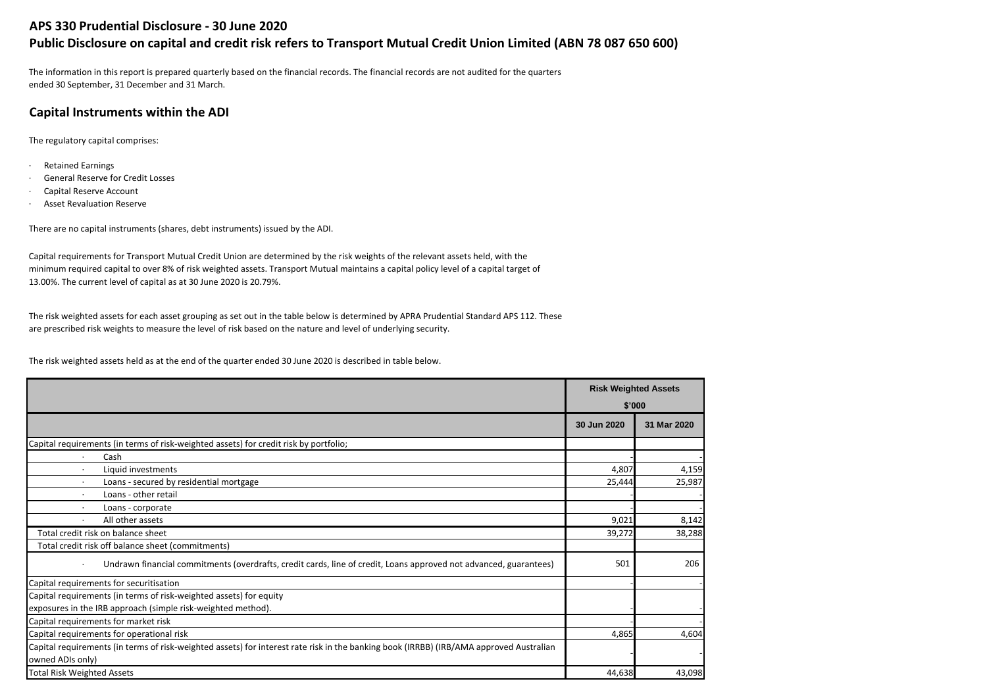## **APS 330 Prudential Disclosure - 30 June 2020 Public Disclosure on capital and credit risk refers to Transport Mutual Credit Union Limited (ABN 78 087 650 600)**

The information in this report is prepared quarterly based on the financial records. The financial records are not audited for the quarters ended 30 September, 31 December and 31 March.

## **Capital Instruments within the ADI**

The regulatory capital comprises:

- · Retained Earnings
- General Reserve for Credit Losses
- · Capital Reserve Account
- Asset Revaluation Reserve

There are no capital instruments (shares, debt instruments) issued by the ADI.

Capital requirements for Transport Mutual Credit Union are determined by the risk weights of the relevant assets held, with the minimum required capital to over 8% of risk weighted assets. Transport Mutual maintains a capital policy level of a capital target of 13.00%. The current level of capital as at 30 June 2020 is 20.79%.

The risk weighted assets for each asset grouping as set out in the table below is determined by APRA Prudential Standard APS 112. These are prescribed risk weights to measure the level of risk based on the nature and level of underlying security.

The risk weighted assets held as at the end of the quarter ended 30 June 2020 is described in table below.

|                                                                                                                                         |             | <b>Risk Weighted Assets</b> |
|-----------------------------------------------------------------------------------------------------------------------------------------|-------------|-----------------------------|
|                                                                                                                                         |             | \$'000                      |
|                                                                                                                                         | 30 Jun 2020 | 31 Mar 2020                 |
| Capital requirements (in terms of risk-weighted assets) for credit risk by portfolio;                                                   |             |                             |
| Cash<br>$\cdot$                                                                                                                         |             |                             |
| Liquid investments<br>$\cdot$                                                                                                           | 4,807       | 4,159                       |
| Loans - secured by residential mortgage<br>$\cdot$                                                                                      | 25,444      | 25,987                      |
| Loans - other retail                                                                                                                    |             |                             |
| Loans - corporate                                                                                                                       |             |                             |
| All other assets<br>٠                                                                                                                   | 9,021       | 8,142                       |
| Total credit risk on balance sheet                                                                                                      | 39,272      | 38,288                      |
| Total credit risk off balance sheet (commitments)                                                                                       |             |                             |
| Undrawn financial commitments (overdrafts, credit cards, line of credit, Loans approved not advanced, guarantees)<br>$\cdot$            | 501         | 206                         |
| Capital requirements for securitisation                                                                                                 |             |                             |
| Capital requirements (in terms of risk-weighted assets) for equity                                                                      |             |                             |
| exposures in the IRB approach (simple risk-weighted method).                                                                            |             |                             |
| Capital requirements for market risk                                                                                                    |             |                             |
| Capital requirements for operational risk                                                                                               | 4,865       | 4,604                       |
| Capital requirements (in terms of risk-weighted assets) for interest rate risk in the banking book (IRRBB) (IRB/AMA approved Australian |             |                             |
| owned ADIs only)                                                                                                                        |             |                             |
| <b>Total Risk Weighted Assets</b>                                                                                                       | 44,638      | 43,098                      |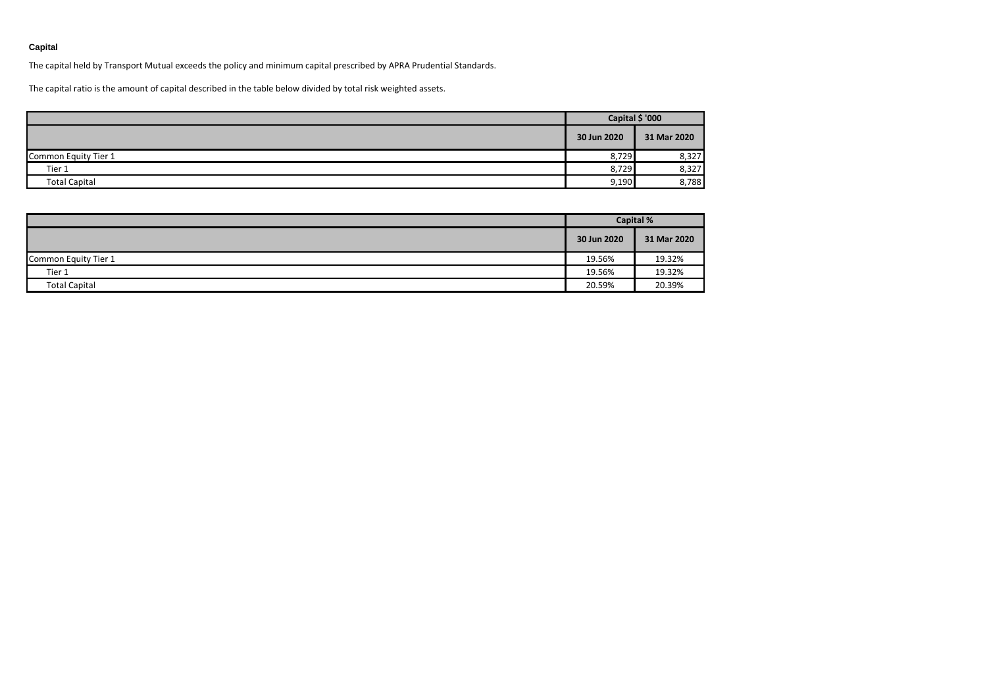### **Capital**

The capital held by Transport Mutual exceeds the policy and minimum capital prescribed by APRA Prudential Standards.

The capital ratio is the amount of capital described in the table below divided by total risk weighted assets.

|                      | Capital \$ '000 |             |
|----------------------|-----------------|-------------|
|                      | 30 Jun 2020     | 31 Mar 2020 |
| Common Equity Tier 1 | 8,729           | 8,327       |
| Tier 1               | 8,729           | 8,327       |
| <b>Total Capital</b> | 9,190           | 8,788       |

|                      | <b>Capital %</b> |             |
|----------------------|------------------|-------------|
|                      | 30 Jun 2020      | 31 Mar 2020 |
| Common Equity Tier 1 | 19.56%           | 19.32%      |
| Tier 1               | 19.56%           | 19.32%      |
| <b>Total Capital</b> | 20.59%           | 20.39%      |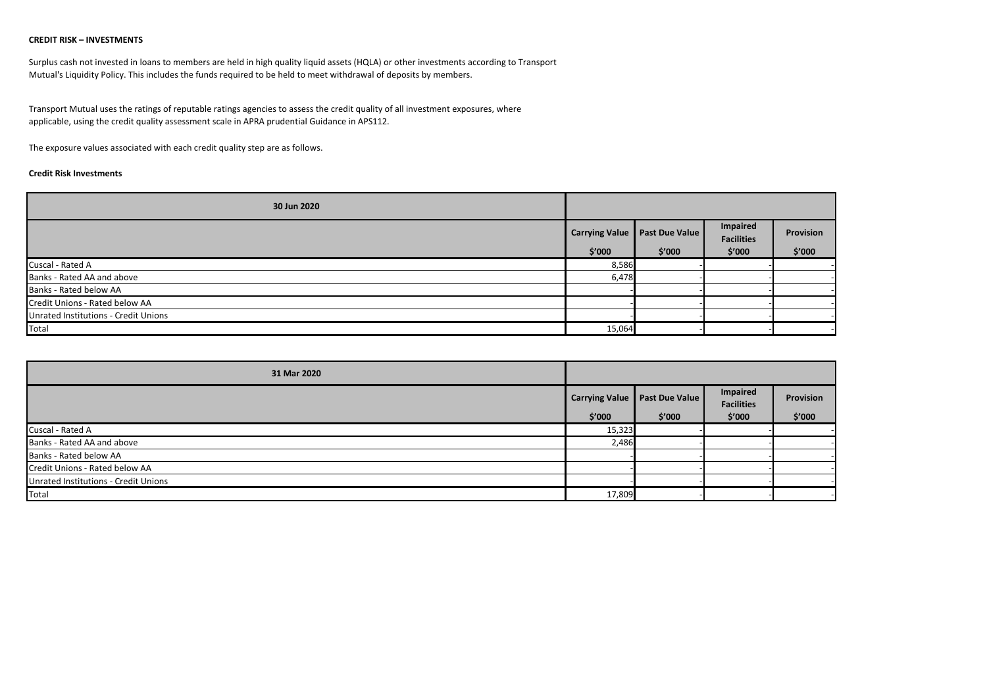#### **CREDIT RISK – INVESTMENTS**

Surplus cash not invested in loans to members are held in high quality liquid assets (HQLA) or other investments according to Transport Mutual's Liquidity Policy. This includes the funds required to be held to meet withdrawal of deposits by members.

Transport Mutual uses the ratings of reputable ratings agencies to assess the credit quality of all investment exposures, where applicable, using the credit quality assessment scale in APRA prudential Guidance in APS112.

The exposure values associated with each credit quality step are as follows.

#### **Credit Risk Investments**

| 30 Jun 2020                          |                |                       |                                      |           |
|--------------------------------------|----------------|-----------------------|--------------------------------------|-----------|
|                                      | Carrying Value | <b>Past Due Value</b> | <b>Impaired</b><br><b>Facilities</b> | Provision |
|                                      | \$′000         | \$′000                | \$'000                               | \$′000    |
| Cuscal - Rated A                     | 8,586          |                       |                                      |           |
| Banks - Rated AA and above           | 6,478          |                       |                                      |           |
| Banks - Rated below AA               |                |                       |                                      |           |
| Credit Unions - Rated below AA       |                |                       |                                      |           |
| Unrated Institutions - Credit Unions |                |                       |                                      |           |
| Total                                | 15,064         |                       |                                      |           |

| 31 Mar 2020                          |        |                                 |                               |           |
|--------------------------------------|--------|---------------------------------|-------------------------------|-----------|
|                                      |        | Carrying Value   Past Due Value | Impaired<br><b>Facilities</b> | Provision |
|                                      | \$′000 | \$′000                          | \$'000                        | \$′000    |
| Cuscal - Rated A                     | 15,323 |                                 |                               |           |
| Banks - Rated AA and above           | 2,486  |                                 |                               |           |
| Banks - Rated below AA               |        |                                 |                               |           |
| Credit Unions - Rated below AA       |        |                                 |                               |           |
| Unrated Institutions - Credit Unions |        |                                 |                               |           |
| Total                                | 17,809 |                                 |                               |           |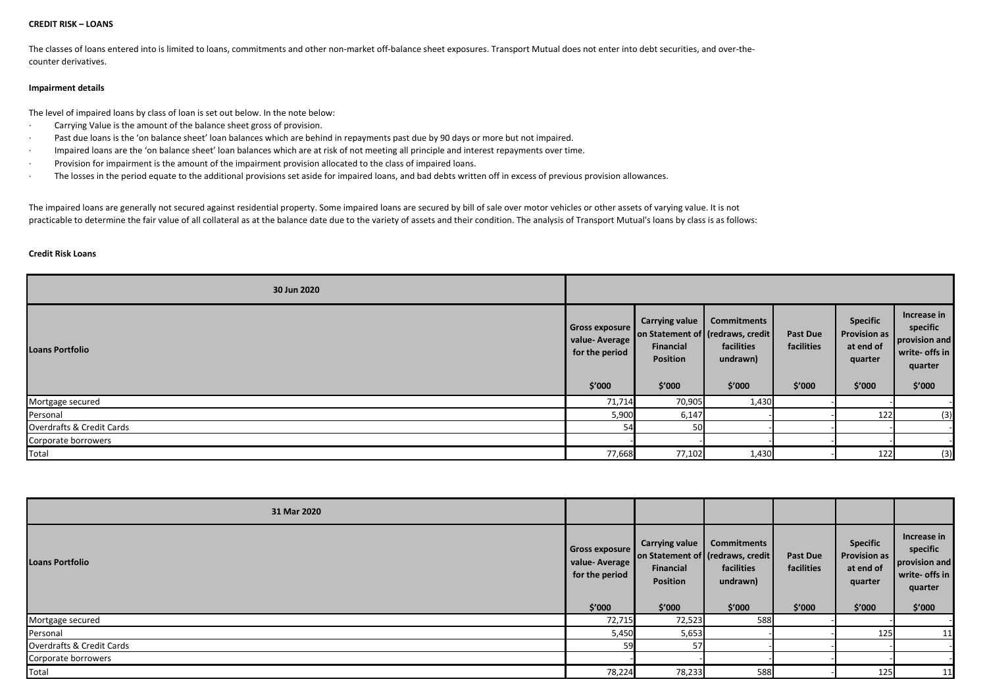#### **CREDIT RISK – LOANS**

The classes of loans entered into is limited to loans, commitments and other non-market off-balance sheet exposures. Transport Mutual does not enter into debt securities, and over-thecounter derivatives.

#### **Impairment details**

The level of impaired loans by class of loan is set out below. In the note below:

- · Carrying Value is the amount of the balance sheet gross of provision.
- Past due loans is the 'on balance sheet' loan balances which are behind in repayments past due by 90 days or more but not impaired.
- · Impaired loans are the 'on balance sheet' loan balances which are at risk of not meeting all principle and interest repayments over time.
- · Provision for impairment is the amount of the impairment provision allocated to the class of impaired loans.
- · The losses in the period equate to the additional provisions set aside for impaired loans, and bad debts written off in excess of previous provision allowances.

The impaired loans are generally not secured against residential property. Some impaired loans are secured by bill of sale over motor vehicles or other assets of varying value. It is not practicable to determine the fair value of all collateral as at the balance date due to the variety of assets and their condition. The analysis of Transport Mutual's loans by class is as follows:

#### **Credit Risk Loans**

| 30 Jun 2020               |                                                                    |                                                          |                                                                                             |                                         |                                                                          |                                                                                 |
|---------------------------|--------------------------------------------------------------------|----------------------------------------------------------|---------------------------------------------------------------------------------------------|-----------------------------------------|--------------------------------------------------------------------------|---------------------------------------------------------------------------------|
| <b>Loans Portfolio</b>    | <b>Gross exposure</b><br>value-Average<br>for the period<br>\$′000 | <b>Carrying value</b><br>Financial<br>Position<br>\$′000 | <b>Commitments</b><br>on Statement of (redraws, credit)<br>facilities<br>undrawn)<br>\$′000 | <b>Past Due</b><br>facilities<br>\$′000 | <b>Specific</b><br><b>Provision as</b><br>at end of<br>quarter<br>\$′000 | Increase in<br>specific<br>provision and<br>write- offs in<br>quarter<br>\$′000 |
| Mortgage secured          | 71,714                                                             | 70,905                                                   | 1,430                                                                                       |                                         |                                                                          |                                                                                 |
| Personal                  | 5,900                                                              | 6,147                                                    |                                                                                             |                                         | 122                                                                      | (3)                                                                             |
| Overdrafts & Credit Cards | 54                                                                 | 50                                                       |                                                                                             |                                         |                                                                          |                                                                                 |
| Corporate borrowers       |                                                                    |                                                          |                                                                                             |                                         |                                                                          |                                                                                 |
| Total                     | 77,668                                                             | 77,102                                                   | 1,430                                                                                       |                                         | 122                                                                      | (3)                                                                             |

| 31 Mar 2020               |                                                             |                                                   |                                                                                             |                                         |                                                                          |                                                                                 |
|---------------------------|-------------------------------------------------------------|---------------------------------------------------|---------------------------------------------------------------------------------------------|-----------------------------------------|--------------------------------------------------------------------------|---------------------------------------------------------------------------------|
| <b>Loans Portfolio</b>    | Gross exposure<br>value-Average<br>for the period<br>\$′000 | Carrying value<br>Financial<br>Position<br>\$′000 | <b>Commitments</b><br>on Statement of (redraws, credit)<br>facilities<br>undrawn)<br>\$′000 | <b>Past Due</b><br>facilities<br>\$′000 | <b>Specific</b><br><b>Provision as</b><br>at end of<br>quarter<br>\$′000 | Increase in<br>specific<br>provision and<br>write- offs in<br>quarter<br>\$′000 |
| Mortgage secured          | 72,715                                                      | 72,523                                            | 588                                                                                         |                                         |                                                                          |                                                                                 |
| Personal                  | 5,450                                                       | 5,653                                             |                                                                                             |                                         | 125                                                                      | 11                                                                              |
| Overdrafts & Credit Cards | 59                                                          | 57                                                |                                                                                             |                                         |                                                                          |                                                                                 |
| Corporate borrowers       |                                                             |                                                   |                                                                                             |                                         |                                                                          |                                                                                 |
| Total                     | 78,224                                                      | 78,233                                            | 588                                                                                         |                                         | 125                                                                      | 11                                                                              |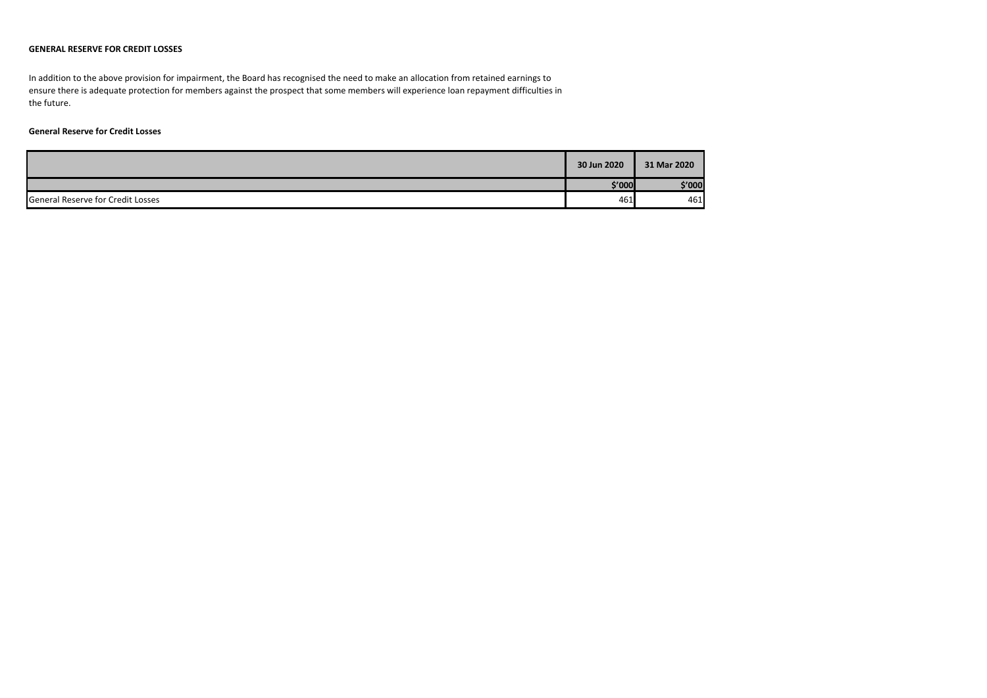#### **GENERAL RESERVE FOR CREDIT LOSSES**

In addition to the above provision for impairment, the Board has recognised the need to make an allocation from retained earnings to ensure there is adequate protection for members against the prospect that some members will experience loan repayment difficulties in the future.

#### **General Reserve for Credit Losses**

|                                          | 30 Jun 2020 | 31 Mar 2020 |
|------------------------------------------|-------------|-------------|
|                                          | \$′000      | \$'000      |
| <b>General Reserve for Credit Losses</b> | 461         | 461         |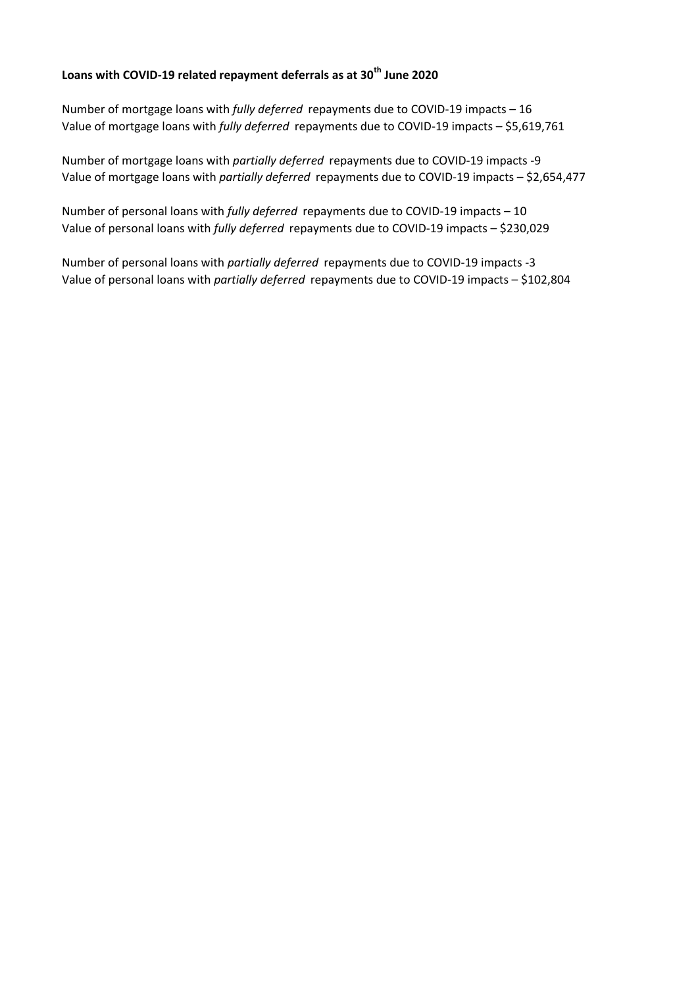# **Loans with COVID-19 related repayment deferrals as at 30th June 2020**

Number of mortgage loans with *fully deferred* repayments due to COVID-19 impacts – 16 Value of mortgage loans with *fully deferred* repayments due to COVID-19 impacts – \$5,619,761

Number of mortgage loans with *partially deferred* repayments due to COVID-19 impacts -9 Value of mortgage loans with *partially deferred* repayments due to COVID-19 impacts – \$2,654,477

Number of personal loans with *fully deferred* repayments due to COVID-19 impacts – 10 Value of personal loans with *fully deferred* repayments due to COVID-19 impacts – \$230,029

Number of personal loans with *partially deferred* repayments due to COVID-19 impacts -3 Value of personal loans with *partially deferred* repayments due to COVID-19 impacts – \$102,804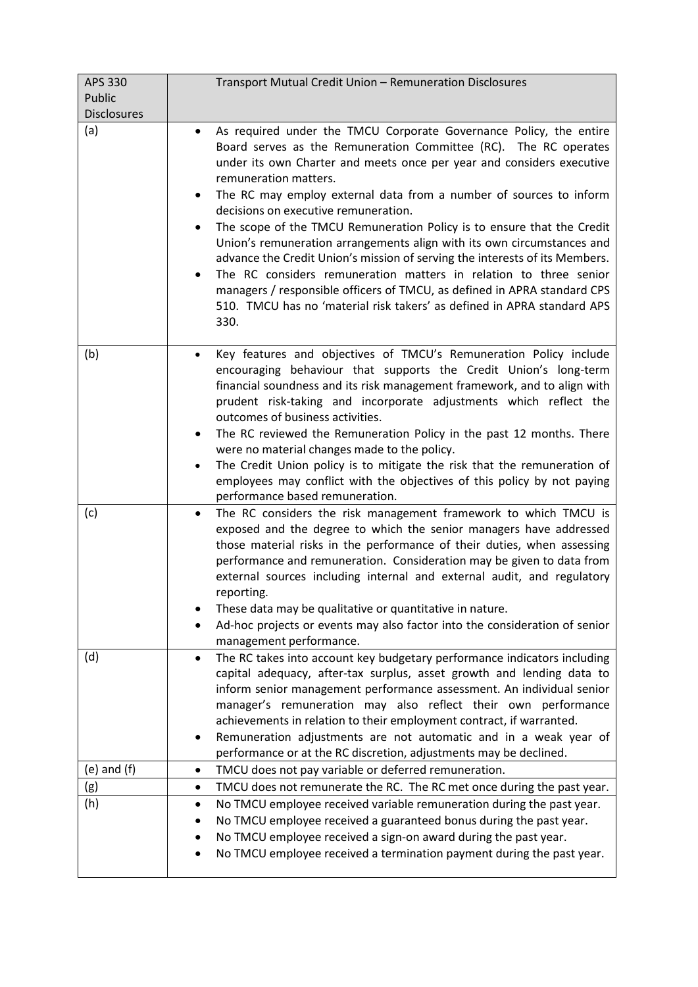| APS 330            | Transport Mutual Credit Union - Remuneration Disclosures                                                                                                                                                                                                                                                                                                                                                                                                                                                                                                                                                                                                                                                                                                                                                                                                          |
|--------------------|-------------------------------------------------------------------------------------------------------------------------------------------------------------------------------------------------------------------------------------------------------------------------------------------------------------------------------------------------------------------------------------------------------------------------------------------------------------------------------------------------------------------------------------------------------------------------------------------------------------------------------------------------------------------------------------------------------------------------------------------------------------------------------------------------------------------------------------------------------------------|
| Public             |                                                                                                                                                                                                                                                                                                                                                                                                                                                                                                                                                                                                                                                                                                                                                                                                                                                                   |
| <b>Disclosures</b> |                                                                                                                                                                                                                                                                                                                                                                                                                                                                                                                                                                                                                                                                                                                                                                                                                                                                   |
| (a)                | As required under the TMCU Corporate Governance Policy, the entire<br>$\bullet$<br>Board serves as the Remuneration Committee (RC). The RC operates<br>under its own Charter and meets once per year and considers executive<br>remuneration matters.<br>The RC may employ external data from a number of sources to inform<br>٠<br>decisions on executive remuneration.<br>The scope of the TMCU Remuneration Policy is to ensure that the Credit<br>٠<br>Union's remuneration arrangements align with its own circumstances and<br>advance the Credit Union's mission of serving the interests of its Members.<br>The RC considers remuneration matters in relation to three senior<br>$\bullet$<br>managers / responsible officers of TMCU, as defined in APRA standard CPS<br>510. TMCU has no 'material risk takers' as defined in APRA standard APS<br>330. |
| (b)                | Key features and objectives of TMCU's Remuneration Policy include<br>$\bullet$                                                                                                                                                                                                                                                                                                                                                                                                                                                                                                                                                                                                                                                                                                                                                                                    |
|                    | encouraging behaviour that supports the Credit Union's long-term<br>financial soundness and its risk management framework, and to align with<br>prudent risk-taking and incorporate adjustments which reflect the<br>outcomes of business activities.<br>The RC reviewed the Remuneration Policy in the past 12 months. There                                                                                                                                                                                                                                                                                                                                                                                                                                                                                                                                     |
|                    | were no material changes made to the policy.                                                                                                                                                                                                                                                                                                                                                                                                                                                                                                                                                                                                                                                                                                                                                                                                                      |
|                    | The Credit Union policy is to mitigate the risk that the remuneration of<br>$\bullet$<br>employees may conflict with the objectives of this policy by not paying<br>performance based remuneration.                                                                                                                                                                                                                                                                                                                                                                                                                                                                                                                                                                                                                                                               |
| (c)                | The RC considers the risk management framework to which TMCU is<br>$\bullet$<br>exposed and the degree to which the senior managers have addressed<br>those material risks in the performance of their duties, when assessing<br>performance and remuneration. Consideration may be given to data from<br>external sources including internal and external audit, and regulatory<br>reporting.                                                                                                                                                                                                                                                                                                                                                                                                                                                                    |
|                    | These data may be qualitative or quantitative in nature.                                                                                                                                                                                                                                                                                                                                                                                                                                                                                                                                                                                                                                                                                                                                                                                                          |
|                    | Ad-hoc projects or events may also factor into the consideration of senior<br>management performance.                                                                                                                                                                                                                                                                                                                                                                                                                                                                                                                                                                                                                                                                                                                                                             |
| (d)                | The RC takes into account key budgetary performance indicators including<br>٠                                                                                                                                                                                                                                                                                                                                                                                                                                                                                                                                                                                                                                                                                                                                                                                     |
|                    | capital adequacy, after-tax surplus, asset growth and lending data to<br>inform senior management performance assessment. An individual senior<br>manager's remuneration may also reflect their own performance<br>achievements in relation to their employment contract, if warranted.<br>Remuneration adjustments are not automatic and in a weak year of<br>٠<br>performance or at the RC discretion, adjustments may be declined.                                                                                                                                                                                                                                                                                                                                                                                                                             |
| $(e)$ and $(f)$    | TMCU does not pay variable or deferred remuneration.<br>٠                                                                                                                                                                                                                                                                                                                                                                                                                                                                                                                                                                                                                                                                                                                                                                                                         |
| (g)                | TMCU does not remunerate the RC. The RC met once during the past year.<br>٠                                                                                                                                                                                                                                                                                                                                                                                                                                                                                                                                                                                                                                                                                                                                                                                       |
| (h)                | No TMCU employee received variable remuneration during the past year.<br>٠                                                                                                                                                                                                                                                                                                                                                                                                                                                                                                                                                                                                                                                                                                                                                                                        |
|                    | No TMCU employee received a guaranteed bonus during the past year.                                                                                                                                                                                                                                                                                                                                                                                                                                                                                                                                                                                                                                                                                                                                                                                                |
|                    | No TMCU employee received a sign-on award during the past year.<br>No TMCU employee received a termination payment during the past year.<br>٠                                                                                                                                                                                                                                                                                                                                                                                                                                                                                                                                                                                                                                                                                                                     |